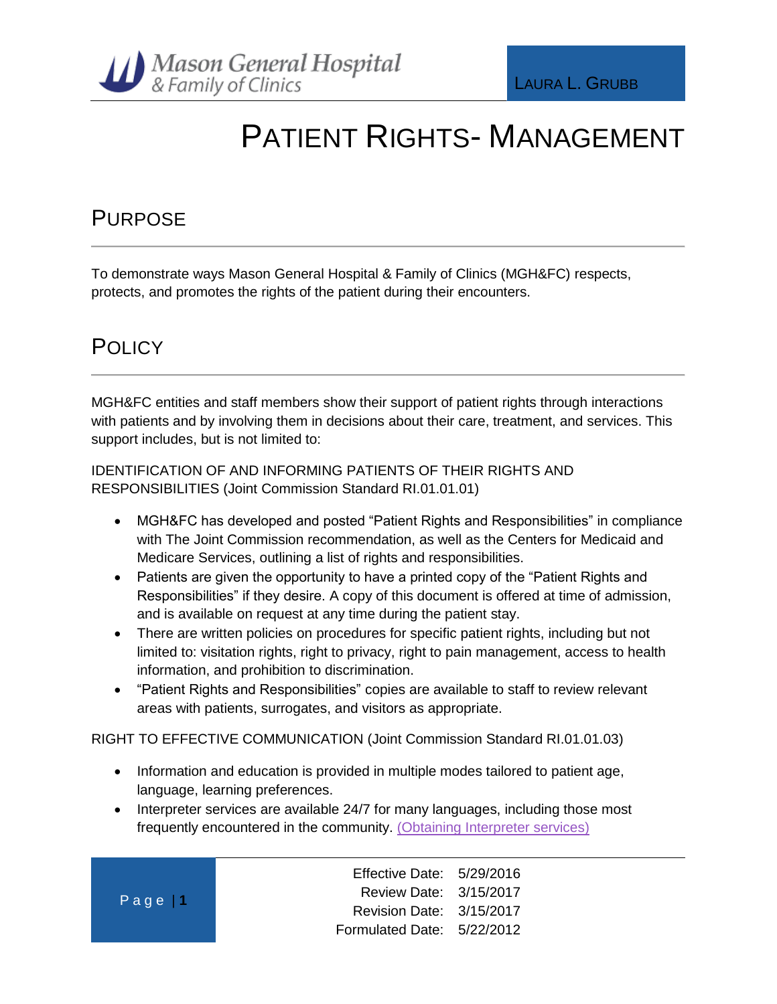

### PATIENT RIGHTS- MANAGEMENT

### **PURPOSE**

To demonstrate ways Mason General Hospital & Family of Clinics (MGH&FC) respects, protects, and promotes the rights of the patient during their encounters.

### **POLICY**

MGH&FC entities and staff members show their support of patient rights through interactions with patients and by involving them in decisions about their care, treatment, and services. This support includes, but is not limited to:

IDENTIFICATION OF AND INFORMING PATIENTS OF THEIR RIGHTS AND RESPONSIBILITIES (Joint Commission Standard RI.01.01.01)

- MGH&FC has developed and posted "Patient Rights and Responsibilities" in compliance with The Joint Commission recommendation, as well as the Centers for Medicaid and Medicare Services, outlining a list of rights and responsibilities.
- Patients are given the opportunity to have a printed copy of the "Patient Rights and Responsibilities" if they desire. A copy of this document is offered at time of admission, and is available on request at any time during the patient stay.
- There are written policies on procedures for specific patient rights, including but not limited to: visitation rights, right to privacy, right to pain management, access to health information, and prohibition to discrimination.
- "Patient Rights and Responsibilities" copies are available to staff to review relevant areas with patients, surrogates, and visitors as appropriate.

RIGHT TO EFFECTIVE COMMUNICATION (Joint Commission Standard RI.01.01.03)

- Information and education is provided in multiple modes tailored to patient age, language, learning preferences.
- Interpreter services are available 24/7 for many languages, including those most frequently encountered in the community. [\(Obtaining Interpreter services\)](http://phd1/mghfc/policies-and-procedures/Library/Obtaining%20Interpreters%20for%20Limited%20English%20Speaking%20and%20Sensory%20Impaired%20Patients.docx)

|  |  | Page   1 |  |
|--|--|----------|--|
|  |  |          |  |

Effective Date: 5/29/2016 Review Date: 3/15/2017 Revision Date: 3/15/2017 Formulated Date: 5/22/2012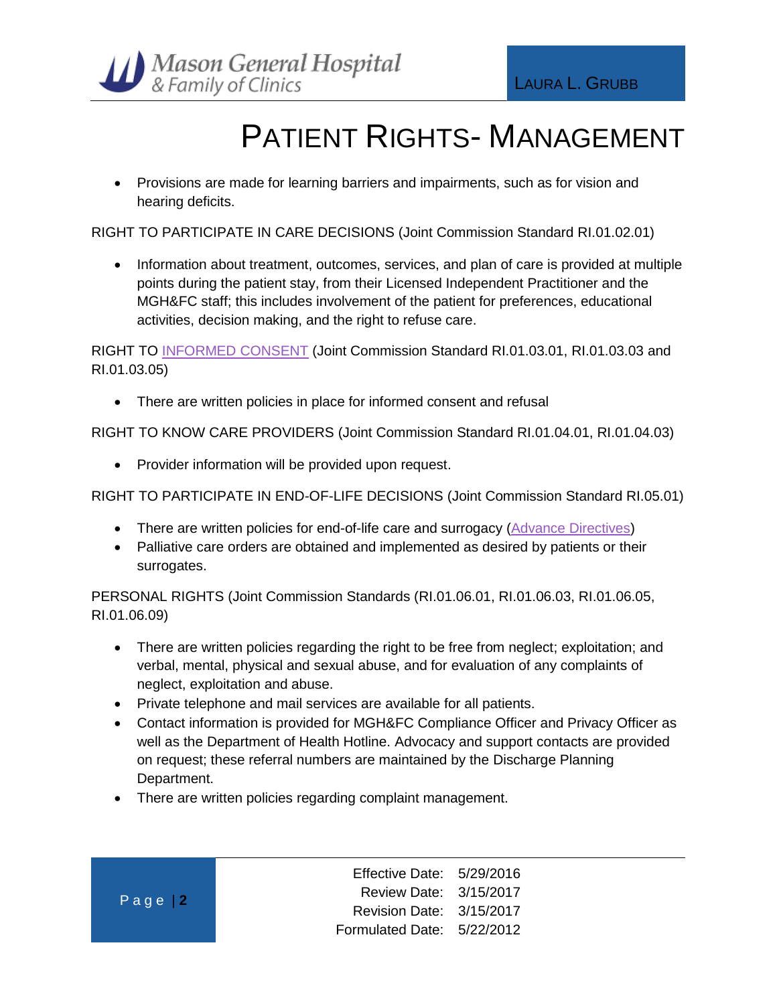

# PATIENT RIGHTS- MANAGEMENT

• Provisions are made for learning barriers and impairments, such as for vision and hearing deficits.

RIGHT TO PARTICIPATE IN CARE DECISIONS (Joint Commission Standard RI.01.02.01)

• Information about treatment, outcomes, services, and plan of care is provided at multiple points during the patient stay, from their Licensed Independent Practitioner and the MGH&FC staff; this includes involvement of the patient for preferences, educational activities, decision making, and the right to refuse care.

RIGHT TO [INFORMED CONSENT](http://phd1/mghfc/policies-and-procedures/Library/Informed%20Consent.docx) (Joint Commission Standard RI.01.03.01, RI.01.03.03 and RI.01.03.05)

• There are written policies in place for informed consent and refusal

RIGHT TO KNOW CARE PROVIDERS (Joint Commission Standard RI.01.04.01, RI.01.04.03)

• Provider information will be provided upon request.

RIGHT TO PARTICIPATE IN END-OF-LIFE DECISIONS (Joint Commission Standard RI.05.01)

- There are written policies for end-of-life care and surrogacy [\(Advance Directives\)](http://phd1/mghfc/policies-and-procedures/Library/Advance%20Directive.docx)
- Palliative care orders are obtained and implemented as desired by patients or their surrogates.

PERSONAL RIGHTS (Joint Commission Standards (RI.01.06.01, RI.01.06.03, RI.01.06.05, RI.01.06.09)

- There are written policies regarding the right to be free from neglect; exploitation; and verbal, mental, physical and sexual abuse, and for evaluation of any complaints of neglect, exploitation and abuse.
- Private telephone and mail services are available for all patients.
- Contact information is provided for MGH&FC Compliance Officer and Privacy Officer as well as the Department of Health Hotline. Advocacy and support contacts are provided on request; these referral numbers are maintained by the Discharge Planning Department.
- There are written policies regarding complaint management.

Effective Date: 5/29/2016 Review Date: 3/15/2017 Revision Date: 3/15/2017 Formulated Date: 5/22/2012